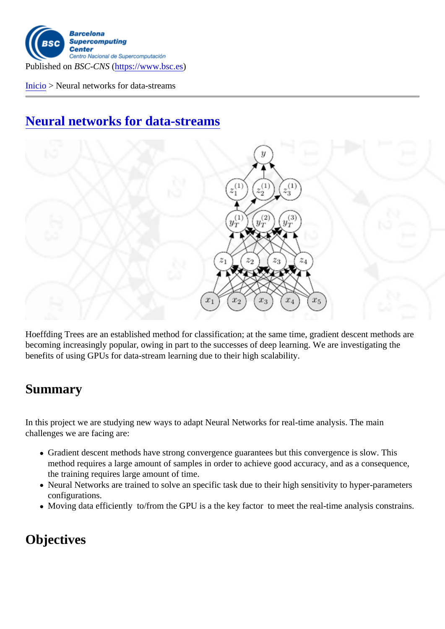Published on BSC-CNS https://www.bsc.es

Inicio > Neural networks for data-streams

[Neu](https://www.bsc.es/es)ral networks for data-streams

Hoeffding Trees are an established method for classification; at the same time, gradient descent methods are becoming increasingly popular, owing in part to the successes of deep learning. We are investigating the benefits of using GPUs for data-stream learning due to their high scalability.

## **Summary**

In this project we are studying new ways to adapt Neural Networks for real-time analysis. The main challenges we are facing are:

- Gradient descent methods have strong convergence guarantees but this convergence is slow. This method requires a large amount of samples in order to achieve good accuracy, and as a consequence, the training requires large amount of time.
- Neural Networks are trained to solve an specific task due to their high sensitivity to hyper-parameters configurations.
- Moving data efficiently to/from the GPU is a the key factor to meet the real-time analysis constrains.

## **Objectives**